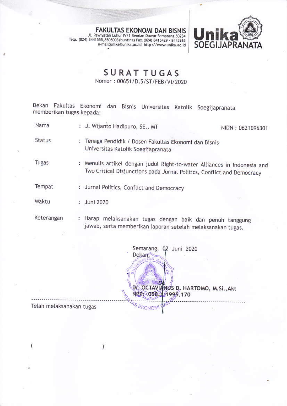FAKULTAS EKONOMI DAN BISNIS<br>Jl. Pawiyatan Luhur IV/1 Bendan Duwur Semarang 50234 Telp. (024) 8441555, 8505003 (hunting) Fax. (024) 8415429 - 8445265<br>e-mail:unika@unika.ac.id http://www.unika.ac.id



## SURAT TUGAS

Nomor: 00651/D.5/ST/FEB/VI/2020

Dekan Fakultas Ekonomi dan Bisnis Universitas Katolik Soegijapranata<br>memberikan-tugas-kepada:

J. Wjanto Hadipuro, sE., MT Nama NIDN:0621096301 **Status** : Tenaga Pendidik / Dosen Fakultas Ekonomi dan Bisnis Universitas Katolik Soegijapranata Tugas : Menulis artikel dengan judul Right-to-water Alliances in Indonesia and Two Critical Disjunctions pada Jurnal Politics, Conflict and Democracy Tempat : Jurnal Politics, Conflict and Democracy Waktu Juni 2020 : Harap melaksanakan tugas dengan baik dan penuh tanggung Keterangan jawab, serta memberikan laporan setelah melaksanakan tugas.

Semarang, 02 Juni 2020 Dekan, I Dr. OCTAVI NUS D. HARTOMO, M.Si., Akt **NPP+ 058** 1995.170  $\sigma$ Telah melaksanakan tugas

Ï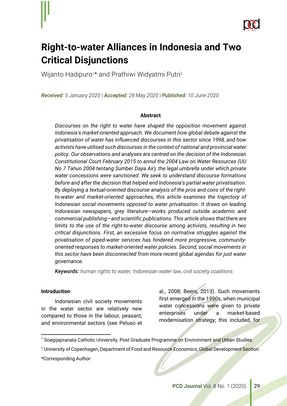

# **Right-to-water Alliances in Indonesia and Two Critical Disjunctions**

Wijanto Hadipuro<sup>1\*</sup> and Prathiwi Widyatmi Putri<sup>2</sup>

*Received: 5 January 2020* | *Accepted: 28 May 2020* | *Published: 10 June 2020*

#### **Abstract**

*Discourses on the right to water have shaped the opposition movement against Indonesia's market-oriented approach. We document how global debate against the privatisation of water has influenced discourses in this sector since 1998, and how activists have utilised such discourses in the context of national and provincial water policy. Our observations and analyses are centred on the decision of the Indonesian Constitutional Court February 2015 to annul the 2004 Law on Water Resources (UU No 7 Tahun 2004 tentang Sumber Daya Air), the legal umbrella under which private water concessions were sanctioned. We seek to understand discourse formations before and after the decision that helped end Indonesia's partial water privatisation. By deploying a textual-oriented discourse analysis of the pros and cons of the rightto-water and market-oriented approaches, this article examines the trajectory of Indonesian social movements opposed to water privatisation. It draws on leading Indonesian newspapers, grey literature—works produced outside academic and commercial publishing—and scientific publications. This article shows that there are limits to the use of the right-to-water discourse among activists, resulting in two critical disjunctions. First, an excessive focus on normative struggles against the privatisation of piped-water services has hindered more progressive, communityoriented responses to market-oriented water policies. Second, social movements in this sector have been disconnected from more recent global agendas for just water governance.*

*Keywords: human rights to water, Indonesian water law, civil society coalitions*

#### **Introduction**

 $\overline{a}$ 

Indonesian civil society movements in the water sector are relatively new compared to those in the labour, peasant, and environmental sectors (see Peluso et al., 2008; Beers, 2013). Such movements first emerged in the 1990s, when municipal water concessions were given to private enterprises under a market-based modernisation strategy; this included, for

<sup>&</sup>lt;sup>1</sup> Soegijapranata Catholic University, Post Graduate Programme on Environment and Urban Studies.

<sup>&</sup>lt;sup>2</sup> University of Copenhagen, Department of Food and Resource Economics, Global Development Section.

<sup>\*</sup>Corresponding Author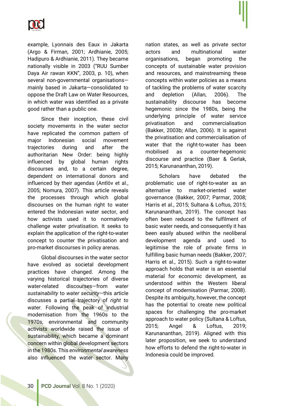

example, Lyonnais des Eaux in Jakarta (Argo & Firman, 2001; Ardhianie, 2005; Hadipuro & Ardhianie, 2011). They became nationally visible in 2003 ("RUU Sumber Daya Air rawan KKN", 2003, p. 10), when several non-governmental organisations mainly based in Jakarta—consolidated to oppose the Draft Law on Water Resources, in which water was identified as a private good rather than a public one.

Since their inception, these civil society movements in the water sector have replicated the common pattern of major Indonesian social movement trajectories during and after the authoritarian New Order: being highly influenced by global human rights discourses and, to a certain degree, dependent on international donors and influenced by their agendas (Antlöv et al., 2005; Nomura, 2007). This article reveals the processes through which global discourses on the human right to water entered the Indonesian water sector, and how activists used it to normatively challenge water privatisation. It seeks to explain the application of the right-to-water concept to counter the privatisation and pro-market discourses in policy arenas.

Global discourses in the water sector have evolved as societal development practices have changed. Among the varying historical trajectories of diverse water-related discourses—from *water sustainability* to *water security*—this article discusses a partial trajectory of *right to water*. Following the peak of industrial modernisation from the 1960s to the 1970s, environmental and community activists worldwide raised the issue of sustainability, which became a dominant concern within global development sectors in the 1980s. This *environmental awareness* also influenced the water sector. Many

nation states, as well as private sector actors and multinational water organisations, began promoting the concepts of sustainable water provision and resources, and mainstreaming these concepts within water policies as a means of tackling the problems of water scarcity and depletion (Allan, 2006). The sustainability discourse has become hegemonic since the 1980s, being the underlying principle of water service privatisation and commercialisation (Bakker, 2003b; Allan, 2006). It is against the privatisation and commercialisation of water that the right-to-water has been mobilised as a counter-hegemonic discourse and practice (Baer & Gerlak, 2015; Karunananthan, 2019).

Scholars have debated the problematic use of right-to-water as an alternative to market-oriented water governance (Bakker, 2007; Parmar, 2008; Harris et al., 2015; Sultana & Loftus, 2015; Karunananthan, 2019). The concept has often been reduced to the fulfilment of basic water needs, and consequently it has been easily abused within the neoliberal development agenda and used to legitimise the role of private firms in fulfilling basic human needs (Bakker, 2007; Harris et al., 2015). Such a right-to-water approach holds that water is an essential material for economic development, as understood within the Western liberal concept of modernisation (Parmar, 2008). Despite its ambiguity, however, the concept has the potential to create new political spaces for challenging the pro-market approach to water policy (Sultana & Loftus, 2015; Angel & Loftus, 2019; Karunananthan, 2019). Aligned with this later proposition, we seek to understand how efforts to defend the right-to-water in Indonesia could be improved.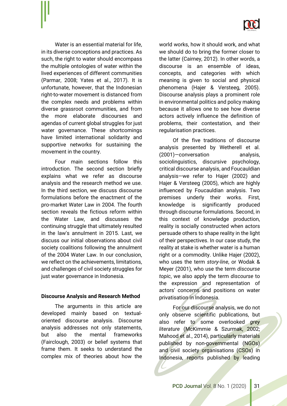

Water is an essential material for life, in its diverse conceptions and practices. As such, the right to water should encompass the multiple ontologies of water within the lived experiences of different communities (Parmar, 2008; Yates et al., 2017). It is unfortunate, however, that the Indonesian right-to-water movement is distanced from the complex needs and problems within diverse grassroot communities, and from the more elaborate discourses and agendas of current global struggles for just water governance. These shortcomings have limited international solidarity and supportive networks for sustaining the movement in the country.

Four main sections follow this introduction. The second section briefly explains what we refer as discourse analysis and the research method we use. In the third section, we discuss discourse formulations before the enactment of the pro-market Water Law in 2004. The fourth section reveals the fictious reform within the Water Law, and discusses the continuing struggle that ultimately resulted in the law's annulment in 2015. Last, we discuss our initial observations about civil society coalitions following the annulment of the 2004 Water Law. In our conclusion, we reflect on the achievements, limitations, and challenges of civil society struggles for just water governance in Indonesia.

#### **Discourse Analysis and Research Method**

The arguments in this article are developed mainly based on textualoriented discourse analysis. Discourse analysis addresses not only statements, but also the mental frameworks (Fairclough, 2003) or belief systems that frame them. It seeks to understand the complex mix of theories about how the

world works, how it should work, and what we should do to bring the former closer to the latter (Cairney, 2012). In other words, a discourse is an ensemble of ideas, concepts, and categories with which meaning is given to social and physical phenomena (Hajer & Versteeg, 2005). Discourse analysis plays a prominent role in environmental politics and policy making because it allows one to see how diverse actors actively influence the definition of problems, their contestation, and their regularisation practices.

Of the five traditions of discourse analysis presented by Wetherell et al. (2001)—conversation analysis, sociolinguistics, discursive psychology, critical discourse analysis, and Foucauldian analysis—we refer to Hajer (2002) and Hajer & Versteeg (2005), which are highly influenced by Foucauldian analysis. Two premises underly their works. First, knowledge is significantly produced through discourse formulations. Second, in this context of knowledge production, reality is socially constructed when actors persuade others to shape reality in the light of their perspectives. In our case study, the reality at stake is whether water is a human right or a commodity. Unlike Hajer (2002), who uses the term *story-line*, or Wodak & Meyer (2001), who use the term *discourse topic*, we also apply the term *discourse* to the expression and representation of actors' concerns and positions on water privatisation in Indonesia.

For our discourse analysis, we do not only observe scientific publications, but also refer to some overlooked *grey literature* (McKimmie & Szurmak, 2002; Mahood et al., 2014), particularly materials published by non-governmental (NGOs) and civil society organisations (CSOs) in Indonesia, reports published by leading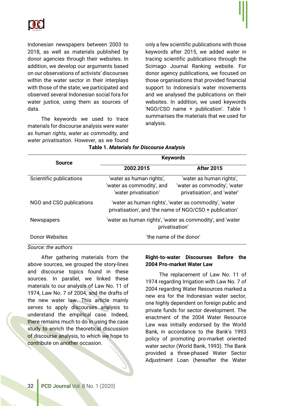

Indonesian newspapers between 2003 to 2018, as well as materials published by donor agencies through their websites. In addition, we develop our arguments based on our observations of activists' discourses within the water sector in their interplays with those of the state; we participated and observed several Indonesian social fora for water justice, using them as sources of data.

The keywords we used to trace materials for discourse analysis were *water as human rights*, *water as commodity*, and *water privatisation*. However, as we found

only a few scientific publications with those keywords after 2015, we added *water* in tracing scientific publications through the Scimago Journal Ranking website. For donor agency publications, we focused on those organisations that provided financial support to Indonesia's water movements and we analysed the publications on their websites. In addition, we used keywords 'NGO/CSO name + publication'. Table 1 summarises the materials that we used for analysis.

| <b>Source</b>            | <b>Keywords</b>                                                                                                  |                                                                                         |  |
|--------------------------|------------------------------------------------------------------------------------------------------------------|-----------------------------------------------------------------------------------------|--|
|                          | 2002 <sub>-2015</sub>                                                                                            | <b>After 2015</b>                                                                       |  |
| Scientific publications  | 'water as human rights',<br>'water as commodity', and<br>'water privatisation'                                   | 'water as human rights',<br>'water as commodity', 'water<br>privatisation', and 'water' |  |
| NGO and CSO publications | 'water as human rights', 'water as commodity', 'water<br>privatisation', and 'the name of NGO/CSO + publication' |                                                                                         |  |
| <b>Newspapers</b>        | 'water as human rights', 'water as commodity', and 'water<br>privatisation'                                      |                                                                                         |  |
| Donor Websites           | 'the name of the donor'                                                                                          |                                                                                         |  |

## **Table 1.** *Materials for Discourse Analysis*

*Source: the authors*

After gathering materials from the above sources, we grouped the story-lines and discourse topics found in these sources. In parallel, we linked these materials to our analysis of Law No. 11 of 1974, Law No. 7 of 2004, and the drafts of the new water law. This article mainly serves to apply discourses analysis to understand the empirical case. Indeed, there remains much to do in using the case study to enrich the theoretical discussion of discourse analysis, to which we hope to contribute on another occasion.

## **Right-to-water Discourses Before the 2004 Pro-market Water Law**

The replacement of Law No. 11 of 1974 regarding Irrigation with Law No. 7 of 2004 regarding Water Resources marked a new era for the Indonesian water sector, one highly dependent on foreign public and private funds for sector development. The enactment of the 2004 Water Resource Law was initially endorsed by the World Bank, in accordance to the Bank's 1993 policy of promoting pro-market oriented water sector (World Bank, 1993). The Bank provided a three-phased Water Sector Adjustment Loan (hereafter the Water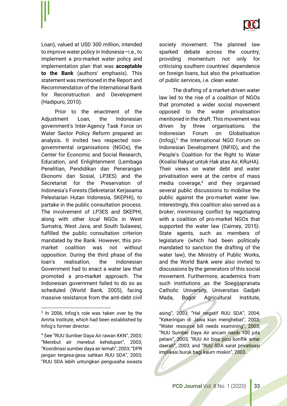

Loan), valued at USD 300 million, intended to *improve* water policy in Indonesia—i.e., to implement a pro-market water policy and implementation plan that was **acceptable to the Bank** (authors' emphasis). This statement was mentioned in the Report and Recommendation of the International Bank for Reconstruction and Development (Hadipuro, 2010).

Prior to the enactment of the Adjustment Loan, the Indonesian government's Inter-Agency Task Force on Water Sector Policy Reform prepared an analysis. It invited two respected nongovernmental organisations (NGOs), the Center for Economic and Social Research, Education, and Enlightenment (Lembaga Penelitian, Pendidikan dan Penerangan Ekonomi dan Sosial, LP3ES) and the Secretariat for the Preservation of Indonesia's Forests (Sekretariat Kerjasama Pelestarian Hutan Indonesia, SKEPHI), to partake in the public consultation process. The involvement of LP3ES and SKEPHI, along with other *local* NGOs in West Sumatra, West Java, and South Sulawesi, fulfilled the public consultation criterion mandated by the Bank. However, this promarket coalition was not without opposition. During the third phase of the loan's realisation, the Indonesian Government had to enact a water law that promoted a pro-market approach. The Indonesian government failed to do so as scheduled (World Bank, 2005), facing massive resistance from the anti-debt civil

 $\overline{a}$ 

society movement. The planned law sparked debate across the country, providing momentum not only for criticising southern countries' dependence on foreign loans, but also the privatisation of public services, i.e. clean water.

The drafting of a market-driven water law led to the rise of a coalition of NGOs that promoted a wider social movement opposed to the water privatisation mentioned in the draft. This movement was driven by three organisations: the Indonesian Forum on Globalisation (Infog) $<sup>3</sup>$  the International NGO Forum on</sup> Indonesian Development (INFID), and the People's Coalition for the Right to Water (Koalisi Rakyat untuk Hak atas Air, KRuHA). Their views on water debt and water privatisation were at the centre of mass media coverage,4 and they organised several public discussions to mobilise the public against the pro-market water law. Interestingly, this coalition also served as a *broker*, minimising conflict by negotiating with a coalition of pro-market NGOs that supported the water law (Cairney, 2015). State agents, such as members of legislature (which had been politically mandated to sanction the drafting of the water law), the Ministry of Public Works, and the World Bank were also invited to discussions by the generators of this social movement. Furthermore, academics from such institutions as the Soegijapranata Catholic University, Universitas Gadjah Mada, Bogor Agricultural Institute,

asing", 2003; "Hal negatif RUU SDA", 2004; "Kekeringan di Jawa kian menghebat", 2003; "Water resource bill needs examining"*,* 2003; "RUU Sumber Daya Air ancam nasib 100 juta petani", 2003; "RUU Air bisa picu konflik antar daerah", 2003; and "RUU SDA sarat privatisasi implikasi buruk bagi kaum miskin", 2003.

<sup>&</sup>lt;sup>3</sup> In 2006, Infog's role was taken over by the Amrta Institute, which had been established by Infog's former director.

<sup>4</sup> See "RUU Sumber Daya Air rawan KKN", 2003; "Merebut air merebut kehidupan", 2003; "Koordinasi sumber daya air lemah", 2003; "DPR jangan tergesa-gesa sahkan RUU SDA", 2003; "RUU SDA lebih untungkan pengusaha swasta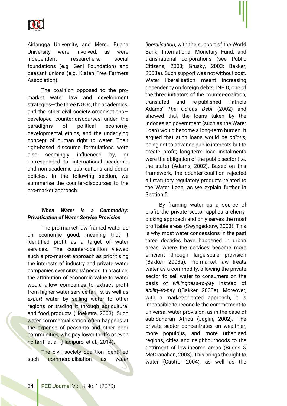

Airlangga University, and Mercu Buana University were involved, as were independent researchers, social foundations (e.g. Geni Foundation) and peasant unions (e.g. Klaten Free Farmers Association).

The coalition opposed to the promarket water law and development strategies—the three NGOs, the academics, and the other civil society organisations developed counter-discourses under the paradigms of political economy, developmental ethics, and the underlying concept of human right to water. Their right-based discourse formulations were also seemingly influenced by, or corresponded to, international academic and non-academic publications and donor policies. In the following section, we summarise the counter-discourses to the pro-market approach.

## *When Water is a Commodity: Privatisation of Water Service Provision*

The pro-market law framed water as an economic good, meaning that it identified profit as a target of water services. The counter-coalition viewed such a pro-market approach as prioritising the interests of industry and private water companies over citizens' needs. In practice, the attribution of economic value to water would allow companies to extract profit from higher water service tariffs, as well as *export* water by selling water to other regions or trading it through agricultural and food products (Hoekstra, 2003). Such water commercialisation often happens at the expense of peasants and other poor communities, who pay lower tariffs or even no tariff at all (Hadipuro, et al., 2014).

The civil society coalition identified such commercialisation as *water* 

*liberalisation*, with the support of the World Bank, International Monetary Fund, and transnational corporations (see Public Citizens, 2003; Grusky, 2003; Bakker, 2003a). Such support was not without cost. Water liberalisation meant increasing dependency on foreign debts. INFID, one of the three initiators of the counter-coalition, translated and re-published Patricia Adams' *The Odious Debt* (2002) and showed that the loans taken by the Indonesian government (such as the Water Loan) would become a long-term burden. It argued that such loans would be *odious*, being not to advance public interests but to create profit; long-term loan instalments were the obligation of the public sector (i.e. the state) (Adams, 2002). Based on this framework, the counter-coalition rejected all statutory regulatory products related to the Water Loan, as we explain further in Section 5.

By framing water as a source of profit, the private sector applies a cherrypicking approach and only serves the most profitable areas (Swyngedouw, 2003). This is why most water concessions in the past three decades have happened in urban areas, where the services become more efficient through large-scale provision (Bakker, 2003a). Pro-market law treats water as a commodity, allowing the private sector to sell water to consumers on the basis of *willingness-to-pay* instead of *ability-to-pay* ((Bakker, 2003a). Moreover, with a market-oriented approach, it is impossible to reconcile the commitment to universal water provision, as in the case of sub-Saharan Africa (Jaglin, 2002). The private sector concentrates on wealthier, more populous, and more urbanised regions, cities and neighbourhoods to the detriment of low-income areas (Budds & McGranahan, 2003). This brings the right to water (Castro, 2004), as well as the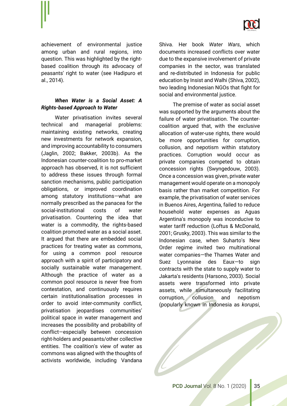

achievement of environmental justice among urban and rural regions, into question. This was highlighted by the rightbased coalition through its advocacy of peasants' right to water (see Hadipuro et al., 2014).

## *When Water is a Social Asset: A Rights-based Approach to Water*

Water privatisation invites several technical and managerial problems: maintaining existing networks, creating new investments for network expansion, and improving accountability to consumers (Jaglin, 2002; Bakker, 2003b). As the Indonesian counter-coalition to pro-market approach has observed, it is not sufficient to address these issues through formal sanction mechanisms, public participation obligations, or improved coordination among statutory institutions—what are normally prescribed as the panacea for the social-institutional costs of water privatisation. Countering the idea that water is a commodity, the rights-based coalition promoted water as a social asset. It argued that there are embedded social practices for treating water as commons, for using a common pool resource approach with a spirit of participatory and socially sustainable water management. Although the practice of water as a common pool resource is never free from contestation, and continuously requires certain institutionalisation processes in order to avoid inter-community conflict, privatisation jeopardises communities' political space in water management and increases the possibility and probability of conflict—especially between concession right-holders and peasants/other collective entities. The coalition's view of water as commons was aligned with the thoughts of activists worldwide, including Vandana

Shiva. Her book *Water Wars*, which documents increased conflicts over water due to the expansive involvement of private companies in the sector, was translated and re-distributed in Indonesia for public education by Insist and Walhi (Shiva, 2002), two leading Indonesian NGOs that fight for social and environmental justice.

The premise of water as social asset was supported by the arguments about the failure of water privatisation. The countercoalition argued that, with the exclusive allocation of water-use rights, there would be more opportunities for corruption, collusion, and nepotism within statutory practices. Corruption would occur as private companies competed to obtain concession rights (Swyngedouw, 2003). Once a concession was given, private water management would operate on a monopoly basis rather than market competition. For example, the privatisation of water services in Buenos Aires, Argentina, failed to reduce household water expenses as Aguas Argentina's monopoly was inconducive to water tariff reduction (Loftus & McDonald, 2001; Grusky, 2003). This was similar to the Indonesian case, when Suharto's New Order regime invited two multinational water companies—the Thames Water and Suez Lyonnaise des Eaux—to sign contracts with the state to supply water to Jakarta's residents (Harsono, 2003). Social assets were transformed into private assets, while simultaneously facilitating corruption, collusion and nepotism (popularly known in Indonesia as *korupsi*,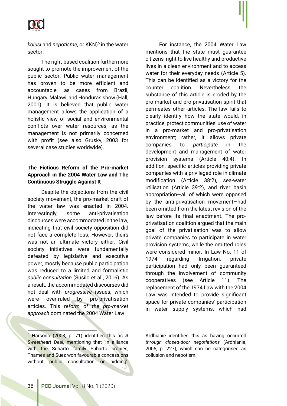

*kolusi* and *nepotisme*, or KKN)5 in the water sector.

The right-based coalition furthermore sought to promote the improvement of the public sector. Public water management has proven to be more efficient and accountable, as cases from Brazil, Hungary, Malawi, and Honduras show (Hall, 2001). It is believed that public water management allows the application of a holistic view of social and environmental conflicts over water resources, as the management is not primarily concerned with profit (see also Grusky, 2003 for several case studies worldwide).

## **The Fictious Reform of the Pro-market Approach in the 2004 Water Law and The Continuous Struggle Against It**

Despite the objections from the civil society movement, the pro-market draft of the water law was enacted in 2004. Interestingly, some anti-privatisation discourses were accommodated in the law, indicating that civil society opposition did not face a complete loss. However, theirs was not an ultimate victory either. Civil society initiatives were fundamentally defeated by legislative and executive power, mostly because public participation was reduced to a limited and formalistic *public consultation* (Susilo et al., 2016). As a result, the accommodated discourses did not deal with *progressive* issues, which were over-ruled by pro-privatisation articles. This *reform of the pro-market approach* dominated the 2004 Water Law.

 $\overline{a}$ <sup>5</sup> Harsono (2003, p. 71) identifies this as *A Sweetheart Deal*, mentioning that 'In alliance with the Suharto family Suharto cronies, Thames and Suez won favourable concessions without public consultation or bidding'.

For instance, the 2004 Water Law mentions that the state must guarantee citizens' right to live healthy and productive lives in a clean environment and to access water for their everyday needs (Article 5). This can be identified as a victory for the counter coalition. Nevertheless, the substance of this article is eroded by the pro-market and pro-privatisation spirit that permeates other articles. The law fails to clearly identify how the state would, in practice, protect communities' use of water in a pro-market and pro-privatisation environment; rather, it allows private companies to *participate* in the development and management of water provision systems (Article 40:4). In addition, specific articles providing private companies with a privileged role in climate modification (Article 38:2), sea-water utilisation (Article 39:2), and river basin appropriation—all of which were opposed by the anti-privatisation movement—had been omitted from the latest revision of the law before its final enactment. The proprivatisation coalition argued that the main goal of the privatisation was to allow private companies to participate in water provision systems, while the omitted roles were considered minor. In Law No. 11 of 1974 regarding Irrigation, private participation had only been guaranteed through the involvement of community cooperatives (see Article 11). The replacement of the 1974 Law with the 2004 Law was intended to provide significant space for private companies' participation in water supply systems, which had

Ardhianie identifies this as having occurred *through closed-door negotiations* (Ardhianie, 2005, p. 227), which can be categorised as collusion and nepotism.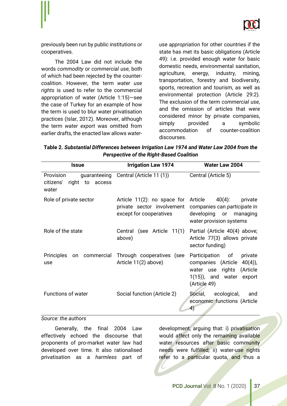

previously been run by public institutions or cooperatives.

The 2004 Law did not include the words *commodity* or *commercial use*, both of which had been rejected by the countercoalition. However, the term *water use rights* is used to refer to the commercial appropriation of water (Article 1:15)—see the case of Turkey for an example of how the term is used to blur water privatisation practices (Islar, 2012). Moreover, although the term *water export* was omitted from earlier drafts, the enacted law allows *water-* *use appropriation* for other countries if the state has met its basic obligations (Article 49): i.e. provided enough water for basic domestic needs, environmental sanitation, agriculture, energy, industry, mining, transportation, forestry and biodiversity, sports, recreation and tourism, as well as environmental protection (Article 29:2). The exclusion of the term *commercial use*, and the omission of articles that were considered minor by private companies, simply provided a symbolic accommodation of counter-coalition discourses.

**Table 2.** *Substantial Differences between Irrigation Law 1974 and Water Law 2004 from the Perspective of the Right-Based Coalition*

| <b>Issue</b>                                                             | <b>Irrigation Law 1974</b>                                                                   | <b>Water Law 2004</b>                                                                                                                           |
|--------------------------------------------------------------------------|----------------------------------------------------------------------------------------------|-------------------------------------------------------------------------------------------------------------------------------------------------|
| Provision<br>guaranteeing<br>right<br>citizens'<br>to<br>access<br>water | Central (Article 11 (1))                                                                     | Central (Article 5)                                                                                                                             |
| Role of private sector                                                   | Article 11(2): no space for Article<br>private sector involvement<br>except for cooperatives | $40(4)$ :<br>private<br>companies can participate in<br>developing or<br>managing<br>water provision systems                                    |
| Role of the state                                                        | Central (see Article 11(1)<br>above)                                                         | Partial (Article 40(4) above;<br>Article 77(3) allows private<br>sector funding)                                                                |
| <b>Principles</b><br>commercial<br>on<br>use                             | Through cooperatives (see<br>Article 11(2) above)                                            | Participation of<br>private<br>$40(4)$ ,<br>companies (Article<br>rights (Article<br>water use<br>$1(15)$ , and water<br>export<br>(Article 49) |
| <b>Functions of water</b>                                                | Social function (Article 2)                                                                  | ecological,<br>Social,<br>and<br>economic functions (Article<br>4)                                                                              |

#### *Source: the authors*

Generally, the final 2004 Law effectively echoed the discourse that proponents of pro-market water law had developed over time. It also rationalised privatisation as a *harmless* part of

development, arguing that: i) privatisation would affect only the remaining available water resources after basic community needs were fulfilled; ii) water-use rights refer to a particular quota, and thus a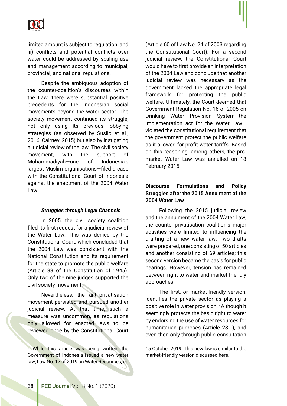

limited amount is subject to regulation; and iii) conflicts and potential conflicts over water could be addressed by scaling use and management according to municipal, provincial, and national regulations.

Despite the ambiguous adoption of the counter-coalition's discourses within the Law, there were substantial positive precedents for the Indonesian social movements beyond the water sector. The society movement continued its struggle, not only using its previous lobbying strategies (as observed by Susilo et al., 2016; Cairney, 2015) but also by instigating a judicial review of the law. The civil society movement, with the support of Muhammadiyah—one of Indonesia's largest Muslim organisations—filed a case with the Constitutional Court of Indonesia against the enactment of the 2004 Water Law.

#### *Struggles through Legal Channels*

In 2005, the civil society coalition filed its first request for a judicial review of the Water Law. This was denied by the Constitutional Court, which concluded that the 2004 Law was consistent with the National Constitution and its requirement for the state to promote the public welfare (Article 33 of the Constitution of 1945). Only two of the nine judges supported the civil society movement.

Nevertheless, the anti-privatisation movement persisted and pursued another judicial review. At that time, such a measure was uncommon, as regulations only allowed for enacted laws to be reviewed once by the Constitutional Court

(Article 60 of Law No. 24 of 2003 regarding the Constitutional Court). For a second judicial review, the Constitutional Court would have to first provide an interpretation of the 2004 Law and conclude that another judicial review was necessary as the government lacked the appropriate legal framework for protecting the public welfare. Ultimately, the Court deemed that Government Regulation No. 16 of 2005 on Drinking Water Provision System—the implementation act for the Water Law violated the constitutional requirement that the government protect the public welfare as it allowed for-profit water tariffs. Based on this reasoning, among others, the promarket Water Law was annulled on 18 February 2015.

## **Discourse Formulations and Policy Struggles after the 2015 Annulment of the 2004 Water Law**

Following the 2015 judicial review and the annulment of the 2004 Water Law, the counter-privatisation coalition's major activities were limited to influencing the drafting of a new water law. Two drafts were prepared, one consisting of 50 articles and another consisting of 69 articles; this second version became the basis for public hearings. However, tension has remained between right-to-water and market-friendly approaches.

The first, or market-friendly version, identifies the private sector as playing a positive role in water provision.6 Although it seemingly protects the basic right to water by endorsing the use of water resources for humanitarian purposes (Article 28:1), and even then only through public consultation

15 October 2019. This new law is similar to the market-friendly version discussed here.

l

<sup>&</sup>lt;sup>6</sup> While this article was being written, the Government of Indonesia issued a new water law, Law No. 17 of 2019 on Water Resources, on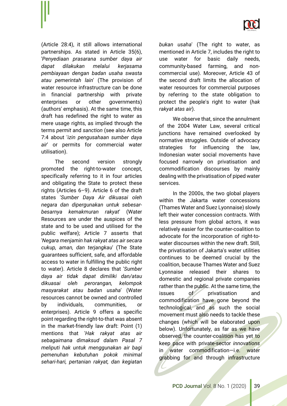

(Article 28:4), it still allows international partnerships. As stated in Article 35(6), '*Penyediaan prasarana sumber daya air dapat dilakukan melalui kerjasama pembiayaan dengan badan usaha swasta atau pemerintah lain*' (The provision of water resource infrastructure can be done in financial partnership with private enterprises or other governments) (authors' emphasis). At the same time, this draft has redefined the right to water as mere usage rights, as implied through the terms *permit* and *sanction* (see also Article 7:4 about '*izin pengusahaan sumber daya air*' or permits for commercial water utilisation).

The second version strongly promoted the right-to-water concept, specifically referring to it in four articles and obligating the State to protect these rights (Articles 6–9). Article 6 of the draft states '*Sumber Daya Air dikuasai oleh negara dan dipergunakan untuk sebesarbesarnya kemakmuran rakyat*' (Water Resources are under the auspices of the state and to be used and utilised for the public welfare); Article 7 asserts that '*Negara menjamin hak rakyat atas air secara cukup, aman, dan terjangkau*' (The State guarantees sufficient, safe, and affordable access to water in fulfilling the public right to water). Article 8 declares that '*Sumber daya air tidak dapat dimiliki dan/atau dikuasai oleh perorangan, kelompok masyarakat atau badan usaha*' (Water resources cannot be owned and controlled by individuals, communities, or enterprises). Article 9 offers a specific point regarding the right-to-that was absent in the market-friendly law draft: Point (1) mentions that '*Hak rakyat atas air sebagaimana dimaksud dalam Pasal 7 meliputi hak untuk menggunakan air bagi pemenuhan kebutuhan pokok minimal sehari-hari, pertanian rakyat, dan kegiatan* 

*bukan usaha*' (The right to water, as mentioned in Article 7, includes the right to use water for basic daily needs, community-based farming, and noncommercial use). Moreover, Article 43 of the second draft limits the allocation of water resources for commercial purposes by referring to the state obligation to protect the people's right to water (*hak rakyat atas air*).

We observe that, since the annulment of the 2004 Water Law, several critical junctions have remained overlooked by normative struggles. Outside of advocacy strategies for influencing the law, Indonesian water social movements have focused narrowly on privatisation and commodification discourses by mainly dealing with the privatisation of piped water services.

In the 2000s, the two global players within the Jakarta water concessions (Thames Water and Suez Lyonnaise) slowly left their water concession contracts. With less pressure from global actors, it was relatively easier for the counter-coalition to advocate for the incorporation of right-towater discourses within the new draft. Still, the privatisation of Jakarta's water utilities continues to be deemed crucial by the coalition, because Thames Water and Suez Lyonnaise released their shares to domestic and regional private companies rather than the public. At the same time, the issues of privatisation and commodification have gone beyond the technological, and as such the social movement must also needs to tackle these changes (which will be elaborated upon below). Unfortunately, as far as we have observed, the counter-coalition has yet to keep pace with private-sector *innovations* in water commodification—i.e. water grabbing for and through infrastructure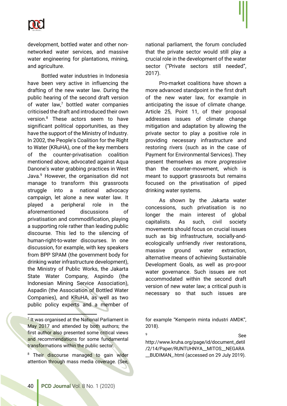

development, bottled water and other nonnetworked water services, and massive water engineering for plantations, mining, and agriculture.

Bottled water industries in Indonesia have been very active in influencing the drafting of the new water law. During the public hearing of the second draft version of water  $law<sup>7</sup>$  bottled water companies criticised the draft and introduced their own version.8 These actors seem to have significant political opportunities, as they have the support of the Ministry of Industry. In 2002, the People's Coalition for the Right to Water (KRuHA), one of the key members of the counter-privatisation coalition mentioned above, advocated against Aqua Danone's water grabbing practices in West Java.9 However, the organisation did not manage to transform this grassroots struggle into a national advocacy campaign, let alone a new water law. It played a peripheral role in the aforementioned discussions of privatisation and commodification, playing a supporting role rather than leading public discourse. This led to the silencing of human-right-to-water discourses. In one discussion, for example, with key speakers from BPP SPAM (the government body for drinking water infrastructure development), the Ministry of Public Works, the Jakarta State Water Company, Aspindo (the Indonesian Mining Service Association), Aspadin (the Association of Bottled Water Companies), and KRuHA, as well as two public policy experts and a member of

<u>.</u>

<sup>8</sup> Their discourse managed to gain wider attention through mass media coverage. (See, national parliament, the forum concluded that the private sector would still play a crucial role in the development of the water sector ("Private sectors still needed", 2017).

Pro-market coalitions have shown a more advanced standpoint in the first draft of the new water law, for example in anticipating the issue of climate change. Article 25, Point 11, of their proposal addresses issues of climate change mitigation and adaptation by allowing the private sector to play a positive role in providing necessary infrastructure and restoring rivers (such as in the case of Payment for Environmental Services). They present themselves as more *progressive* than the counter-movement, which is meant to support grassroots but remains focused on the privatisation of piped drinking water systems.

As shown by the Jakarta water concessions, such privatisation is no longer the main interest of global capitalists. As such, civil society movements should focus on crucial issues such as big infrastructure, socially-andecologically unfriendly river restorations, massive ground water extraction, alternative means of achieving Sustainable Development Goals, as well as pro-poor water governance. Such issues are not accommodated within the second draft version of new water law; a critical push is necessary so that such issues are

for example "Kemperin minta industri AMDK", 2018).

 $9 \text{}$  See http://www.kruha.org/page/id/document\_detil /2/14/Paper/RUNTUHNYA\_\_MITOS\_\_NEGARA \_\_BUDIMAN\_.html (accessed on 29 July 2019).

 $<sup>7</sup>$  It was organised at the National Parliament in</sup> May 2017 and attended by both authors; the first author also presented some critical views and recommendations for some fundamental transformations within the public sector.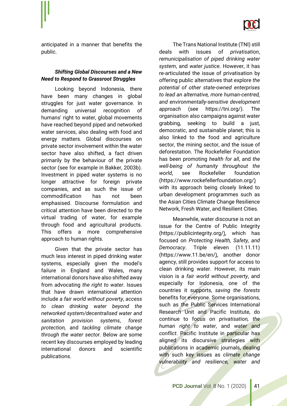

anticipated in a manner that benefits the public.

## *Shifting Global Discourses and a New Need to Respond to Grassroot Struggles*

Looking beyond Indonesia, there have been many changes in global struggles for just water governance. In demanding universal recognition of humans' right to water, global movements have reached beyond piped and networked water services, also dealing with food and energy matters. Global discourses on private sector involvement within the water sector have also shifted, a fact driven primarily by the behaviour of the private sector (see for example in Bakker, 2003b). Investment in piped water systems is no longer attractive for foreign private companies, and as such the issue of commodification has not been emphasised. Discourse formulation and critical attention have been directed to the virtual trading of water, for example through food and agricultural products. This offers a more comprehensive approach to human rights.

Given that the private sector has much less interest in piped drinking water systems, especially given the model's failure in England and Wales, many international donors have also shifted away from advocating *the right to water*. Issues that have drawn international attention include *a fair world without pover*t*y*, *access to clean drinking water beyond the networked system/decentralised water and sanitation provision systems*, *forest protection,* and *tackling climate change through the water secto*r. Below are some recent key discourses employed by leading international donors and scientific publications.

The Trans National Institute (TNI) still deals with issues of *privatisation*, *remunicipalisation of piped drinking water system*, and *water justice*. However, it has re-articulated the issue of privatisation by offering public alternatives that explore *the potential of other state-owned enterprises to lead an alternative, more human-centred, and environmentally-sensitive development approach* (see https://tni.org/). The organisation also campaigns against water grabbing, seeking to build a just, democratic, and sustainable planet; this is also linked to the food and agriculture sector, the mining sector, and the issue of deforestation. The Rockefeller Foundation has been promoting *health for all*, and *the well-being of humanity throughout the world*, see Rockefeller foundation (https://www.rockefellerfoundation.org/) with its approach being closely linked to urban development programmes such as the Asian Cities Climate Change Resilience Network, Fresh Water, and Resilient Cities.

Meanwhile, water discourse is not an issue for the Centre of Public Integrity (https://publicintegrity.org/), which has focused on *Protecting Health, Safety, and Democracy*. Triple eleven (11.11.11) (https://www.11.be/en/), another donor agency, still provides support for access to clean drinking water. However, its main vision is *a fair world without poverty*, and especially for Indonesia, one of the countries it supports, *saving the forests* benefits for everyone. Some organisations, such as the Public Services International Research Unit and Pacific Institute, do continue to focus on *privatisation, the human right to water*, and *water and conflict*. Pacific Institute in particular has aligned its discursive strategies with publications in academic journals, dealing with such key issues as *climate change vulnerability and resilience, water and*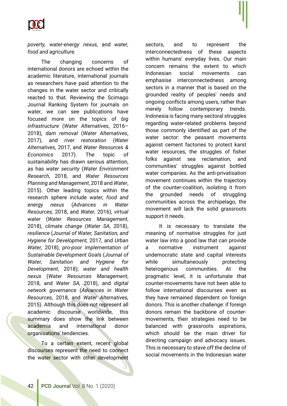

*poverty, water-energy nexus,* and *water, food and agriculture.*

The changing concerns of international donors are echoed within the academic literature, international journals as researchers have paid attention to the changes in the water sector and critically reacted to that. Reviewing the Scimago Journal Ranking System for journals on water, we can see publications have focused more on the topics of *big infrastructure* (*Water Alternatives*, 2016– 2018), *dam removal* (*Water Alternatives*, 2017), and *river restoration* (*Water Alternatives*, 2017, and *Water Resources & Economics* 2017). The topic of *sustainability* has drawn serious attention, as has *water security* (*Water Environment Research*, 2018, and *Water Resources Planning and Management*, 2018 and *Water*, 2015). Other leading topics within the research sphere include *water, food and energy nexus* (*Advances in Water Resources,* 2018, and *Water,* 2016), *virtual water* (*Water Resources Management*, 2018), *climate change* (*Water SA*, 2018), *resilience* (*Journal of Water, Sanitation, and Hygiene for Development,* 2017, and *Urban Water,* 2018), *pro-poor implementation of Sustainable Development Goal*s (*Journal of Water, Sanitation and Hygiene for Development*, 2018); *water and health nexus* (*Water Resources Management*, 2018, and *Water SA,* 2018), and *digital network governance* (*Advances in Water Resources*, 2018, and *Water Alternatives,* 2015). Although this does not represent all academic discourse worldwide, this summary does show the link between academia and international donor organisations' tendencies.

To a certain extent, recent global discourses represent the need to connect the water sector with other development

sectors, and to represent the interconnectedness of these aspects within humans' everyday lives. Our main concern remains the extent to which Indonesian social movements can emphasise interconnectedness among sectors in a manner that is based on the grounded reality of peoples' needs and ongoing conflicts among users, rather than merely follow contemporary trends. Indonesia is facing many sectoral struggles regarding water-related problems beyond those commonly identified as part of the water sector: the peasant movements against cement factories to protect karst water resources, the struggles of fisher folks against sea reclamation, and communities' struggles against bottled water companies. As the anti-privatisation movement continues within the trajectory of the counter-coalition, isolating it from the grounded needs of struggling communities across the archipelago, the movement will lack the solid grassroots support it needs.

It is necessary to translate the meaning of normative struggles for just water law into a good law that can provide a normative instrument against undemocratic state and capital interests while simultaneously protecting heterogenous communities. At the pragmatic level, it is unfortunate that counter-movements have not been able to follow international discourses even as they have remained dependent on foreign donors. This is another challenge: if foreign donors remain the backbone of countermovements, their strategies need to be balanced with grassroots aspirations, which should be the main driver for directing campaign and advocacy issues. This is necessary to stave off the decline of social movements in the Indonesian water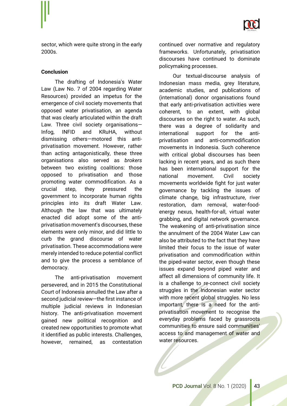

sector, which were quite strong in the early 2000s.

#### **Conclusion**

The drafting of Indonesia's Water Law (Law No. 7 of 2004 regarding Water Resources) provided an impetus for the emergence of civil society movements that opposed water privatisation, an agenda that was clearly articulated within the draft Law. Three civil society organisations— Infog, INFID and KRuHA, without dismissing others—motored this antiprivatisation movement. However, rather than acting antagonistically, these three organisations also served as *brokers* between two existing coalitions: those opposed to privatisation and those promoting water commodification. As a crucial step, they pressured the government to incorporate human rights principles into its draft Water Law. Although the law that was ultimately enacted did adopt some of the antiprivatisation movement's discourses, these elements were only minor, and did little to curb the grand discourse of water privatisation. These accommodations were merely intended to reduce potential conflict and to give the process a semblance of democracy.

The anti-privatisation movement persevered, and in 2015 the Constitutional Court of Indonesia annulled the Law after a second judicial review-the first instance of multiple judicial reviews in Indonesian history. The anti-privatisation movement gained new political recognition and created new opportunities to promote what it identified as public interests. Challenges, however, remained, as contestation

continued over normative and regulatory frameworks. Unfortunately, privatisation discourses have continued to dominate policymaking processes.

Our textual-discourse analysis of Indonesian mass media, grey literature, academic studies, and publications of (international) donor organisations found that early anti-privatisation activities were coherent, to an extent, with global discourses on the right to water. As such, there was a degree of solidarity and international support for the antiprivatisation and anti-commodification movements in Indonesia. Such coherence with critical global discourses has been lacking in recent years, and as such there has been international support for the national movement. Civil society movements worldwide fight for just water governance by tackling the issues of climate change, big infrastructure, river restoration, dam removal, water-foodenergy nexus, health-for-all, virtual water grabbing, and digital network governance. The weakening of anti-privatisation since the annulment of the 2004 Water Law can also be attributed to the fact that they have limited their focus to the issue of water privatisation and commodification within the piped-water sector, even though these issues expand beyond piped water and affect all dimensions of community life. It is a challenge to re-connect civil society struggles in the Indonesian water sector with more recent global struggles. No less important, there is a need for the antiprivatisation movement to recognise the everyday problems faced by grassroots communities to ensure said communities' access to and management of water and water resources.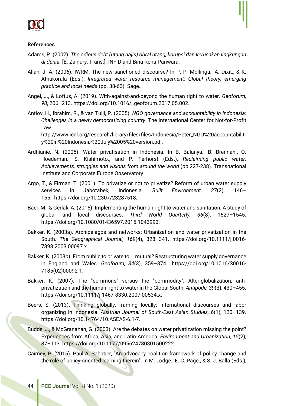

#### **References**

- Adams, P. (2002). *The odious debt (utang najis) obral utang, korupsi dan kerusakan lingkungan di dunia.* [E. Zainury, Trans.]. INFID and Bina Rena Pariwara.
- Allan, J. A. (2006). IWRM: The new sanctioned discourse? In P. P. Mollinga., A. Dixit., & K. Athukorala (Eds.), *Integrated water resource management: Global theory, emerging practice and local needs* (pp. 38-63). Sage.
- Angel, J., & Loftus, A. (2019). With-against-and-beyond the human right to water. *Geoforum, 98*, 206–213. https://doi.org/10.1016/j.geoforum.2017.05.002.
- Antlöv, H., Ibrahim, R., & van Tuijl, P. (2005). *NGO governance and accountability in Indonesia: Challenges in a newly democratizing country*. The International Center for Not-for-Profit Law.

http://www.icnl.org/research/library/files/files/Indonesia/Peter\_NGO%20accountabilit y%20in%20Indonesia%20July%2005%20version.pdf.

- Ardhianie, N. (2005). Water privatisation in Indonesia. In B. Balanya., B. Brennan., O. Hoedeman., S. Kishimoto., and P. Terhorst (Eds.), *Reclaiming public water: Achievements, struggles and visions from around the world* (pp.227-238). Transnational Institute and Corporate Europe Observatory.
- Argo, T., & Firman, T. (2001). To privatize or not to privatize? Reform of urban water supply services in Jabotabek, Indonesia. *Built Environment, 27*(2), 146– 155. https://doi.org/10.2307/23287518.
- Baer, M., & Gerlak, A. (2015). Implementing the human right to water and sanitation: A study of global and local discourses. *Third World Quarterly, 36*(8), 1527–1545. https://doi.org/10.1080/01436597.2015.1043993.
- Bakker, K. (2003a). Archipelagos and networks: Urbanization and water privatization in the South. *The Geographical Journal, 169*(4), 328–341. https://doi.org/10.1111/j.0016- 7398.2003.00097.x.
- Bakker, K. (2003b). From public to private to … mutual? Restructuring water supply governance in England and Wales. *Geoforum, 34*(3), 359–374. https://doi.org/10.1016/S0016- 7185(02)00092-1.
- Bakker, K. (2007). The "commons" versus the "commodity": Alter-globalization, antiprivatization and the human right to water in the Global South. *Antipode, 39*(3), 430–455. https://doi.org/10.1111/j.1467-8330.2007.00534.x.
- Beers, S. (2013). Thinking globally, framing locally: International discourses and labor organizing in Indonesia. *Austrian Journal of South-East Asian Studies, 6*(1), 120–139. https://doi.org/10.14764/10.ASEAS-6.1-7.
- Budds, J., & McGranahan, G. (2003). Are the debates on water privatization missing the point? Experiences from Africa, Asia, and Latin America. *Environment and Urbanization, 15*(2), 87–113. https://doi.org/10.1177/095624780301500222.
- Cairney, P. (2015). Paul A. Sabatier, "An advocacy coalition framework of policy change and the role of policy-oriented learning therein". In M. Lodge., E. C. Page., & S. J. Balla (Eds.),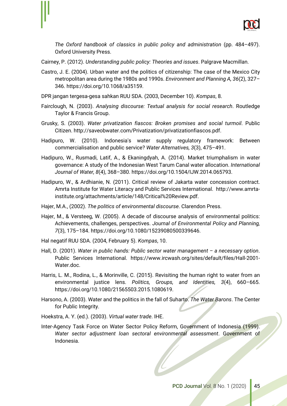

*The Oxford handbook of classics in public policy and administration* (pp. 484–497). Oxford University Press.

Cairney, P. (2012). *Understanding public policy: Theories and issues*. Palgrave Macmillan.

- Castro, J. E. (2004). Urban water and the politics of citizenship: The case of the Mexico City metropolitan area during the 1980s and 1990s. *Environment and Planning A, 36*(2), 327– 346. https://doi.org/10.1068/a35159.
- DPR jangan tergesa-gesa sahkan RUU SDA. (2003, December 10). *Kompas*, 8.
- Fairclough, N. (2003). *Analysing discourse: Textual analysis for social research*. Routledge Taylor & Francis Group.
- Grusky, S. (2003). *Water privatization fiascos: Broken promises and social turmoil*. Public Citizen. http://saveobwater.com/Privatization/privatizationfiascos.pdf.
- Hadipuro, W. (2010). Indonesia's water supply regulatory framework: Between commercialisation and public service? *Water Alternatives, 3*(3), 475–491.
- Hadipuro, W., Rusmadi, Latif, A., & Ekaningdyah, A. (2014). Market triumphalism in water governance: A study of the Indonesian West Tarum Canal water allocation. *International Journal of Water, 8*(4), 368–380. https://doi.org/10.1504/IJW.2014.065793.
- Hadipuro, W., & Ardhianie, N. (2011). Critical review of Jakarta water concession contract. Amrta Institute for Water Literacy and Public Services International. http://www.amrtainstitute.org/attachments/article/148/Critical%20Review.pdf.
- Hajer, M.A., (2002). *The politics of environmental discourse*. Clarendon Press.
- Hajer, M., & Versteeg, W. (2005). A decade of discourse analysis of environmental politics: Achievements, challenges, perspectives. *Journal of Environmental Policy and Planning, 7*(3), 175–184. https://doi.org/10.1080/15239080500339646.
- Hal negatif RUU SDA. (2004, February 5). *Kompas*, 10.
- Hall, D. (2001). *Water in public hands: Public sector water management – a necessary option*. Public Services International. https://www.ircwash.org/sites/default/files/Hall-2001- Water.doc.
- Harris, L. M., Rodina, L., & Morinville, C. (2015). Revisiting the human right to water from an environmental justice lens. *Politics, Groups, and Identities, 3*(4), 660–665. https://doi.org/10.1080/21565503.2015.1080619.
- Harsono, A. (2003). Water and the politics in the fall of Suharto. *The Water Barons*. The Center for Public Integrity.
- Hoekstra, A. Y. (ed.). (2003). *Virtual water trade*. IHE.
- Inter-Agency Task Force on Water Sector Policy Reform, Government of Indonesia (1999). *Water sector adjustment loan sectoral environmental assessment*. Government of Indonesia.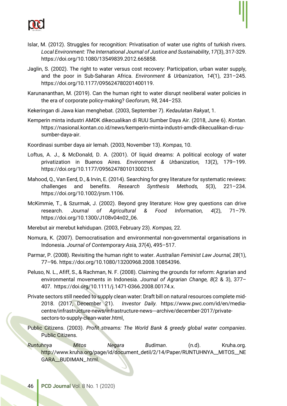

- Islar, M. (2012). Struggles for recognition: Privatisation of water use rights of turkish rivers. *Local Environment: The International Journal of Justice and Sustainability*, *17*(3), 317-329. https://doi.org/10.1080/13549839.2012.665858.
- Jaglin, S. (2002). The right to water versus cost recovery: Participation, urban water supply, and the poor in Sub-Saharan Africa. *Environment & Urbanization, 14*(1), 231–245. https://doi.org/10.1177/095624780201400119.
- Karunananthan, M. (2019). Can the human right to water disrupt neoliberal water policies in the era of corporate policy-making? *Geoforum, 98*, 244–253.

Kekeringan di Jawa kian menghebat. (2003, September 7). *Kedaulatan Rakyat*, 1.

- Kemperin minta industri AMDK dikecualikan di RUU Sumber Daya Air. (2018, June 6). *Kontan.*  https://nasional.kontan.co.id/news/kemperin-minta-industri-amdk-dikecualikan-di-ruusumber-daya-air.
- Koordinasi sumber daya air lemah. (2003, November 13). *Kompas,* 10.
- Loftus, A. J., & McDonald, D. A. (2001). Of liquid dreams: A political ecology of water privatization in Buenos Aires. *Environment & Urbanization, 13*(2), 179–199. https://doi.org/10.1177/095624780101300215.
- Mahood, Q., Van Eerd, D., & Irvin, E. (2014). Searching for grey literature for systematic reviews: challenges and benefits. *Research Synthesis Methods, 5*(3), 221–234. https://doi.org/10.1002/jrsm.1106.
- McKimmie, T., & Szurmak, J. (2002). Beyond grey literature: How grey questions can drive research. *Journal of Agricultural & Food Information, 4*(2), 71–79. https://doi.org/10.1300/J108v04n02\_06.
- Merebut air merebut kehidupan. (2003, February 23). *Kompas,* 22.
- Nomura, K. (2007). Democratisation and environmental non-governmental organisations in Indonesia. *Journal of Contemporary Asia, 37*(4), 495–517.
- Parmar, P. (2008). Revisiting the human right to water. *Australian Feminist Law Journal, 28*(1), 77–96. https://doi.org/10.1080/13200968.2008.10854396.
- Peluso, N. L., Afiff, S., & Rachman, N. F. (2008). Claiming the grounds for reform: Agrarian and environmental movements in Indonesia. *Journal of Agrarian Change, 8*(2 & 3), 377– 407. https://doi.org/10.1111/j.1471-0366.2008.00174.x.
- Private sectors still needed to supply clean water: Draft bill on natural resources complete mid-2018. (2017, December 21). *Investor Daily.* https://www.pwc.com/id/en/mediacentre/infrastructure-news/infrastructure-news---archive/december-2017/privatesectors-to-supply-clean-water.html.
- Public Citizens. (2003). *Profit streams: The World Bank & greedy global water companies*. Public Citizens.

*Runtuhnya Mitos Negara Budiman*. (n.d). Kruha.org. http://www.kruha.org/page/id/document\_detil/2/14/Paper/RUNTUHNYA\_\_MITOS\_\_NE GARA\_\_BUDIMAN\_.html.